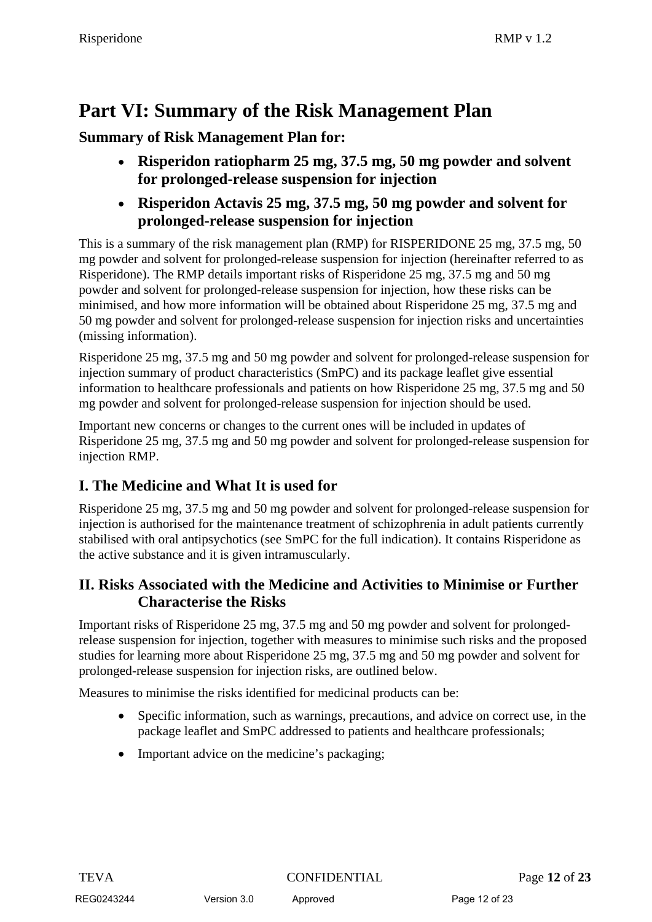# **Part VI: Summary of the Risk Management Plan**

**Summary of Risk Management Plan for:**

- **Risperidon ratiopharm 25 mg, 37.5 mg, 50 mg powder and solvent for prolonged-release suspension for injection**
- **Risperidon Actavis 25 mg, 37.5 mg, 50 mg powder and solvent for prolonged-release suspension for injection**

This is a summary of the risk management plan (RMP) for RISPERIDONE 25 mg, 37.5 mg, 50 mg powder and solvent for prolonged-release suspension for injection (hereinafter referred to as Risperidone). The RMP details important risks of Risperidone 25 mg, 37.5 mg and 50 mg powder and solvent for prolonged-release suspension for injection, how these risks can be minimised, and how more information will be obtained about Risperidone 25 mg, 37.5 mg and 50 mg powder and solvent for prolonged-release suspension for injection risks and uncertainties (missing information).

Risperidone 25 mg, 37.5 mg and 50 mg powder and solvent for prolonged-release suspension for injection summary of product characteristics (SmPC) and its package leaflet give essential information to healthcare professionals and patients on how Risperidone 25 mg, 37.5 mg and 50 mg powder and solvent for prolonged-release suspension for injection should be used.

Important new concerns or changes to the current ones will be included in updates of Risperidone 25 mg, 37.5 mg and 50 mg powder and solvent for prolonged-release suspension for injection RMP.

### **I. The Medicine and What It is used for**

Risperidone 25 mg, 37.5 mg and 50 mg powder and solvent for prolonged-release suspension for injection is authorised for the maintenance treatment of schizophrenia in adult patients currently stabilised with oral antipsychotics (see SmPC for the full indication). It contains Risperidone as the active substance and it is given intramuscularly.

#### **II. Risks Associated with the Medicine and Activities to Minimise or Further Characterise the Risks**

Important risks of Risperidone 25 mg, 37.5 mg and 50 mg powder and solvent for prolongedrelease suspension for injection, together with measures to minimise such risks and the proposed studies for learning more about Risperidone 25 mg, 37.5 mg and 50 mg powder and solvent for prolonged-release suspension for injection risks, are outlined below.

Measures to minimise the risks identified for medicinal products can be:

- Specific information, such as warnings, precautions, and advice on correct use, in the package leaflet and SmPC addressed to patients and healthcare professionals;
- Important advice on the medicine's packaging;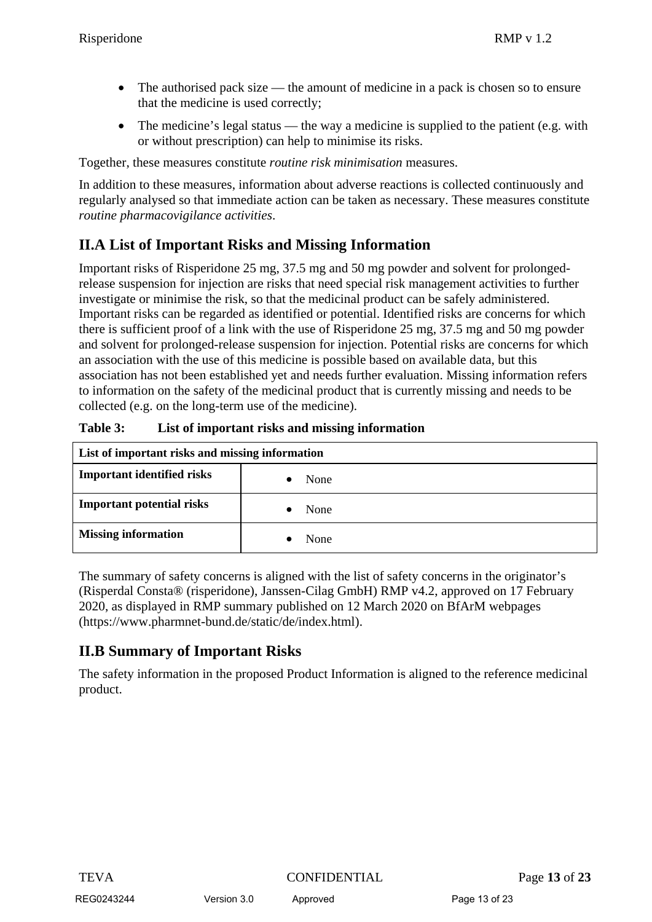- The authorised pack size the amount of medicine in a pack is chosen so to ensure that the medicine is used correctly;
- The medicine's legal status the way a medicine is supplied to the patient (e.g. with or without prescription) can help to minimise its risks.

Together, these measures constitute *routine risk minimisation* measures.

In addition to these measures, information about adverse reactions is collected continuously and regularly analysed so that immediate action can be taken as necessary. These measures constitute *routine pharmacovigilance activities*.

## **II.A List of Important Risks and Missing Information**

Important risks of Risperidone 25 mg, 37.5 mg and 50 mg powder and solvent for prolongedrelease suspension for injection are risks that need special risk management activities to further investigate or minimise the risk, so that the medicinal product can be safely administered. Important risks can be regarded as identified or potential. Identified risks are concerns for which there is sufficient proof of a link with the use of Risperidone 25 mg, 37.5 mg and 50 mg powder and solvent for prolonged-release suspension for injection. Potential risks are concerns for which an association with the use of this medicine is possible based on available data, but this association has not been established yet and needs further evaluation. Missing information refers to information on the safety of the medicinal product that is currently missing and needs to be collected (e.g. on the long-term use of the medicine).

| List of important risks and missing information |      |  |
|-------------------------------------------------|------|--|
| <b>Important identified risks</b>               | None |  |
| <b>Important potential risks</b>                | None |  |
| <b>Missing information</b>                      | None |  |

| Table 3: |  | List of important risks and missing information |
|----------|--|-------------------------------------------------|
|----------|--|-------------------------------------------------|

The summary of safety concerns is aligned with the list of safety concerns in the originator's (Risperdal Consta® (risperidone), Janssen-Cilag GmbH) RMP v4.2, approved on 17 February 2020, as displayed in RMP summary published on 12 March 2020 on BfArM webpages (https://www.pharmnet-bund.de/static/de/index.html).

### **II.B Summary of Important Risks**

The safety information in the proposed Product Information is aligned to the reference medicinal product.